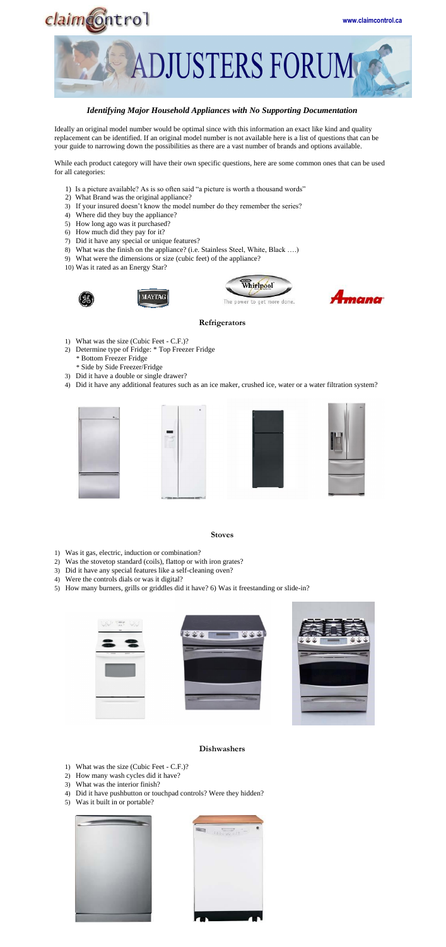



# *Identifying Major Household Appliances with No Supporting Documentation*

Ideally an original model number would be optimal since with this information an exact like kind and quality replacement can be identified. If an original model number is not available here is a list of questions that can be your guide to narrowing down the possibilities as there are a vast number of brands and options available.

While each product category will have their own specific questions, here are some common ones that can be used for all categories:

- 1) Is a picture available? As is so often said "a picture is worth a thousand words"
- 2) What Brand was the original appliance?
- 3) If your insured doesn't know the model number do they remember the series?
- 4) Where did they buy the appliance?
- 5) How long ago was it purchased?
- 6) How much did they pay for it?
- 7) Did it have any special or unique features?
- 8) What was the finish on the appliance? (i.e. Stainless Steel, White, Black ….)
- 9) What were the dimensions or size (cubic feet) of the appliance?
- 10) Was it rated as an Energy Star?









### **Refrigerators**

- 1) What was the size (Cubic Feet C.F.)?
- 2) Determine type of Fridge: \* Top Freezer Fridge \* Bottom Freezer Fridge
	- \* Side by Side Freezer/Fridge
- 3) Did it have a double or single drawer?
- 4) Did it have any additional features such as an ice maker, crushed ice, water or a water filtration system?

| ٠<br>IŒ |  |  |
|---------|--|--|
|         |  |  |
|         |  |  |
|         |  |  |
|         |  |  |





- 1) Was it gas, electric, induction or combination?
- 2) Was the stovetop standard (coils), flattop or with iron grates?
- 3) Did it have any special features like a self-cleaning oven?
- 4) Were the controls dials or was it digital?
- 5) How many burners, grills or griddles did it have? 6) Was it freestanding or slide-in?







#### **Dishwashers**

- 1) What was the size (Cubic Feet C.F.)?
- 2) How many wash cycles did it have?
- 3) What was the interior finish?
- 4) Did it have pushbutton or touchpad controls? Were they hidden?
- 5) Was it built in or portable?